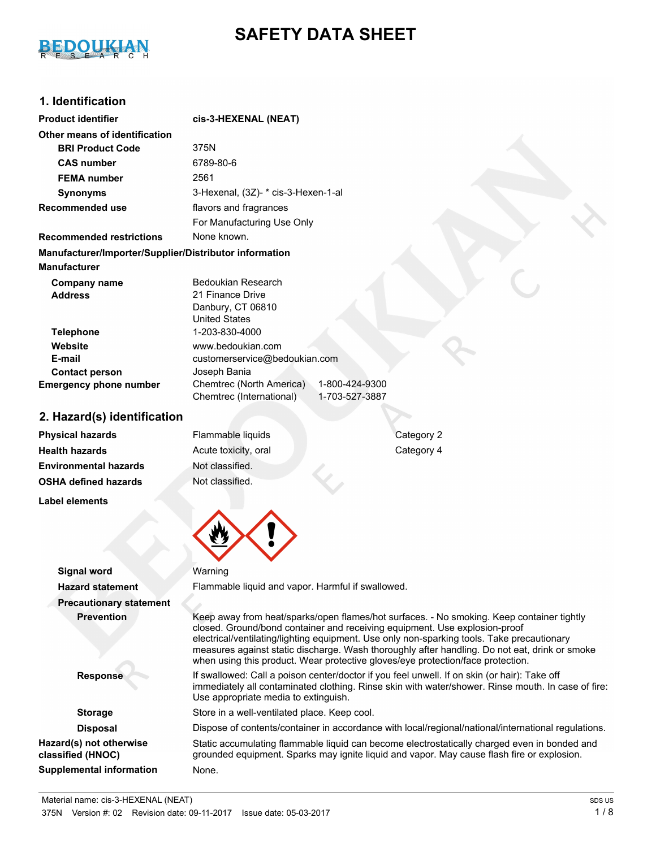# **SAFETY DATA SHEET**



# **1. Identification**

| <b>Product identifier</b>                              | cis-3-HEXENAL (NEAT)                                                                     |  |
|--------------------------------------------------------|------------------------------------------------------------------------------------------|--|
| Other means of identification                          |                                                                                          |  |
| <b>BRI Product Code</b>                                | 375N                                                                                     |  |
| <b>CAS number</b>                                      | 6789-80-6                                                                                |  |
| <b>FEMA</b> number                                     | 2561                                                                                     |  |
| <b>Synonyms</b>                                        | 3-Hexenal, (3Z)- * cis-3-Hexen-1-al                                                      |  |
| <b>Recommended use</b>                                 | flavors and fragrances                                                                   |  |
|                                                        | For Manufacturing Use Only                                                               |  |
| <b>Recommended restrictions</b>                        | None known.                                                                              |  |
| Manufacturer/Importer/Supplier/Distributor information |                                                                                          |  |
| <b>Manufacturer</b>                                    |                                                                                          |  |
| Company name                                           | <b>Bedoukian Research</b>                                                                |  |
| <b>Address</b>                                         | 21 Finance Drive                                                                         |  |
|                                                        | Danbury, CT 06810                                                                        |  |
|                                                        | <b>United States</b>                                                                     |  |
| <b>Telephone</b>                                       | 1-203-830-4000                                                                           |  |
| Website                                                | www.bedoukian.com                                                                        |  |
| E-mail                                                 | customerservice@bedoukian.com                                                            |  |
| <b>Contact person</b>                                  | Joseph Bania                                                                             |  |
| <b>Emergency phone number</b>                          | 1-800-424-9300<br>Chemtrec (North America)<br>Chemtrec (International)<br>1-703-527-3887 |  |

## **2. Hazard(s) identification**

| <b>Physical hazards</b>      |
|------------------------------|
| <b>Health hazards</b>        |
| <b>Environmental hazards</b> |
| <b>OSHA defined hazards</b>  |

**Label elements**

**Physical hazards** Flammable liquids Category 2 Acute toxicity, oral **Acute toxicity**, oral Category 4 **Not classified. Not classified.** 



**Signal word** Warning **Hazard statement** Flammable liquid and vapor. Harmful if swallowed. **Precautionary statement**

| <b>Precautionary statement</b>               |                                                                                                                                                                                                                                                                                                                                                                                                                                                           |
|----------------------------------------------|-----------------------------------------------------------------------------------------------------------------------------------------------------------------------------------------------------------------------------------------------------------------------------------------------------------------------------------------------------------------------------------------------------------------------------------------------------------|
| <b>Prevention</b>                            | Keep away from heat/sparks/open flames/hot surfaces. - No smoking. Keep container tightly<br>closed. Ground/bond container and receiving equipment. Use explosion-proof<br>electrical/ventilating/lighting equipment. Use only non-sparking tools. Take precautionary<br>measures against static discharge. Wash thoroughly after handling. Do not eat, drink or smoke<br>when using this product. Wear protective gloves/eye protection/face protection. |
| <b>Response</b>                              | If swallowed: Call a poison center/doctor if you feel unwell. If on skin (or hair): Take off<br>immediately all contaminated clothing. Rinse skin with water/shower. Rinse mouth. In case of fire:<br>Use appropriate media to extinguish.                                                                                                                                                                                                                |
| <b>Storage</b>                               | Store in a well-ventilated place. Keep cool.                                                                                                                                                                                                                                                                                                                                                                                                              |
| <b>Disposal</b>                              | Dispose of contents/container in accordance with local/regional/national/international regulations.                                                                                                                                                                                                                                                                                                                                                       |
| Hazard(s) not otherwise<br>classified (HNOC) | Static accumulating flammable liquid can become electrostatically charged even in bonded and<br>grounded equipment. Sparks may ignite liquid and vapor. May cause flash fire or explosion.                                                                                                                                                                                                                                                                |
| <b>Supplemental information</b>              | None.                                                                                                                                                                                                                                                                                                                                                                                                                                                     |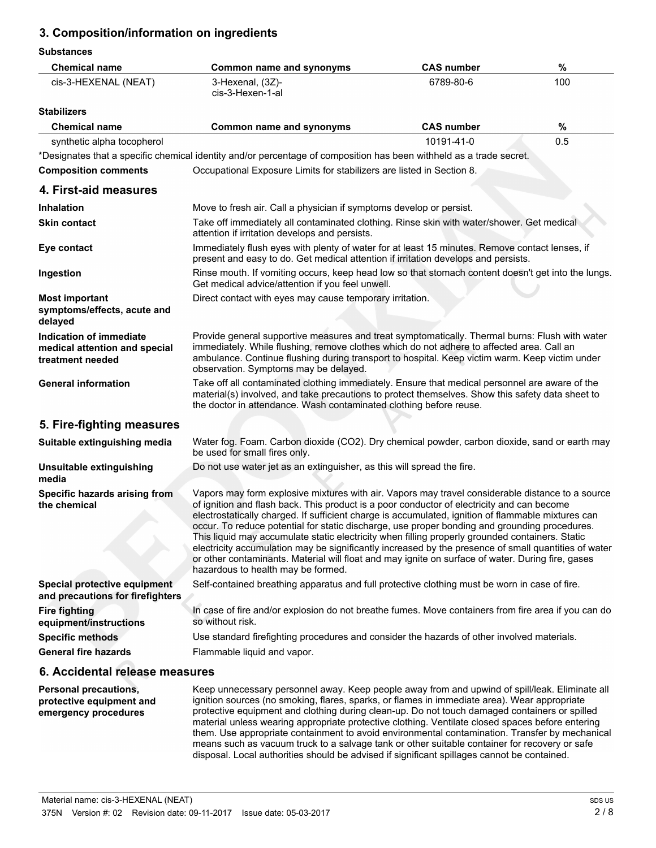## **3. Composition/information on ingredients**

#### **Substances**

| <b>Chemical name</b>                                                         | Common name and synonyms                                                                                                                                                                                                                                                                                                                                                                                                                                                                                                                                                                                                                                                                                                                                    | <b>CAS number</b> | $\%$ |
|------------------------------------------------------------------------------|-------------------------------------------------------------------------------------------------------------------------------------------------------------------------------------------------------------------------------------------------------------------------------------------------------------------------------------------------------------------------------------------------------------------------------------------------------------------------------------------------------------------------------------------------------------------------------------------------------------------------------------------------------------------------------------------------------------------------------------------------------------|-------------------|------|
| cis-3-HEXENAL (NEAT)                                                         | 3-Hexenal, (3Z)-<br>cis-3-Hexen-1-al                                                                                                                                                                                                                                                                                                                                                                                                                                                                                                                                                                                                                                                                                                                        | 6789-80-6         | 100  |
| <b>Stabilizers</b>                                                           |                                                                                                                                                                                                                                                                                                                                                                                                                                                                                                                                                                                                                                                                                                                                                             |                   |      |
| <b>Chemical name</b>                                                         | Common name and synonyms                                                                                                                                                                                                                                                                                                                                                                                                                                                                                                                                                                                                                                                                                                                                    | <b>CAS number</b> | $\%$ |
| synthetic alpha tocopherol                                                   |                                                                                                                                                                                                                                                                                                                                                                                                                                                                                                                                                                                                                                                                                                                                                             | 10191-41-0        | 0.5  |
|                                                                              | *Designates that a specific chemical identity and/or percentage of composition has been withheld as a trade secret.                                                                                                                                                                                                                                                                                                                                                                                                                                                                                                                                                                                                                                         |                   |      |
| <b>Composition comments</b>                                                  | Occupational Exposure Limits for stabilizers are listed in Section 8.                                                                                                                                                                                                                                                                                                                                                                                                                                                                                                                                                                                                                                                                                       |                   |      |
| 4. First-aid measures                                                        |                                                                                                                                                                                                                                                                                                                                                                                                                                                                                                                                                                                                                                                                                                                                                             |                   |      |
| <b>Inhalation</b>                                                            | Move to fresh air. Call a physician if symptoms develop or persist.                                                                                                                                                                                                                                                                                                                                                                                                                                                                                                                                                                                                                                                                                         |                   |      |
| <b>Skin contact</b>                                                          | Take off immediately all contaminated clothing. Rinse skin with water/shower. Get medical<br>attention if irritation develops and persists.                                                                                                                                                                                                                                                                                                                                                                                                                                                                                                                                                                                                                 |                   |      |
| Eye contact                                                                  | Immediately flush eyes with plenty of water for at least 15 minutes. Remove contact lenses, if<br>present and easy to do. Get medical attention if irritation develops and persists.                                                                                                                                                                                                                                                                                                                                                                                                                                                                                                                                                                        |                   |      |
| Ingestion                                                                    | Rinse mouth. If vomiting occurs, keep head low so that stomach content doesn't get into the lungs.<br>Get medical advice/attention if you feel unwell.                                                                                                                                                                                                                                                                                                                                                                                                                                                                                                                                                                                                      |                   |      |
| <b>Most important</b><br>symptoms/effects, acute and<br>delayed              | Direct contact with eyes may cause temporary irritation.                                                                                                                                                                                                                                                                                                                                                                                                                                                                                                                                                                                                                                                                                                    |                   |      |
| Indication of immediate<br>medical attention and special<br>treatment needed | Provide general supportive measures and treat symptomatically. Thermal burns: Flush with water<br>immediately. While flushing, remove clothes which do not adhere to affected area. Call an<br>ambulance. Continue flushing during transport to hospital. Keep victim warm. Keep victim under<br>observation. Symptoms may be delayed.                                                                                                                                                                                                                                                                                                                                                                                                                      |                   |      |
| <b>General information</b>                                                   | Take off all contaminated clothing immediately. Ensure that medical personnel are aware of the<br>material(s) involved, and take precautions to protect themselves. Show this safety data sheet to<br>the doctor in attendance. Wash contaminated clothing before reuse.                                                                                                                                                                                                                                                                                                                                                                                                                                                                                    |                   |      |
| 5. Fire-fighting measures                                                    |                                                                                                                                                                                                                                                                                                                                                                                                                                                                                                                                                                                                                                                                                                                                                             |                   |      |
| Suitable extinguishing media                                                 | Water fog. Foam. Carbon dioxide (CO2). Dry chemical powder, carbon dioxide, sand or earth may<br>be used for small fires only.                                                                                                                                                                                                                                                                                                                                                                                                                                                                                                                                                                                                                              |                   |      |
| Unsuitable extinguishing<br>media                                            | Do not use water jet as an extinguisher, as this will spread the fire.                                                                                                                                                                                                                                                                                                                                                                                                                                                                                                                                                                                                                                                                                      |                   |      |
| Specific hazards arising from<br>the chemical                                | Vapors may form explosive mixtures with air. Vapors may travel considerable distance to a source<br>of ignition and flash back. This product is a poor conductor of electricity and can become<br>electrostatically charged. If sufficient charge is accumulated, ignition of flammable mixtures can<br>occur. To reduce potential for static discharge, use proper bonding and grounding procedures.<br>This liquid may accumulate static electricity when filling properly grounded containers. Static<br>electricity accumulation may be significantly increased by the presence of small quantities of water<br>or other contaminants. Material will float and may ignite on surface of water. During fire, gases<br>hazardous to health may be formed. |                   |      |
| Special protective equipment<br>and precautions for firefighters             | Self-contained breathing apparatus and full protective clothing must be worn in case of fire.                                                                                                                                                                                                                                                                                                                                                                                                                                                                                                                                                                                                                                                               |                   |      |
| <b>Fire fighting</b><br>equipment/instructions                               | In case of fire and/or explosion do not breathe fumes. Move containers from fire area if you can do<br>so without risk.                                                                                                                                                                                                                                                                                                                                                                                                                                                                                                                                                                                                                                     |                   |      |
| <b>Specific methods</b>                                                      | Use standard firefighting procedures and consider the hazards of other involved materials.                                                                                                                                                                                                                                                                                                                                                                                                                                                                                                                                                                                                                                                                  |                   |      |
| <b>General fire hazards</b>                                                  | Flammable liquid and vapor.                                                                                                                                                                                                                                                                                                                                                                                                                                                                                                                                                                                                                                                                                                                                 |                   |      |
| 6. Accidental release measures                                               |                                                                                                                                                                                                                                                                                                                                                                                                                                                                                                                                                                                                                                                                                                                                                             |                   |      |
|                                                                              | upposessory personnel quay. Keep people quay from and upwind of opillook Flimington                                                                                                                                                                                                                                                                                                                                                                                                                                                                                                                                                                                                                                                                         |                   |      |

Keep unnecessary personnel away. Keep people away from and upwind of spill/leak. Eliminate all ignition sources (no smoking, flares, sparks, or flames in immediate area). Wear appropriate protective equipment and clothing during clean-up. Do not touch damaged containers or spilled material unless wearing appropriate protective clothing. Ventilate closed spaces before entering them. Use appropriate containment to avoid environmental contamination. Transfer by mechanical means such as vacuum truck to a salvage tank or other suitable container for recovery or safe disposal. Local authorities should be advised if significant spillages cannot be contained. **Personal precautions, protective equipment and emergency procedures**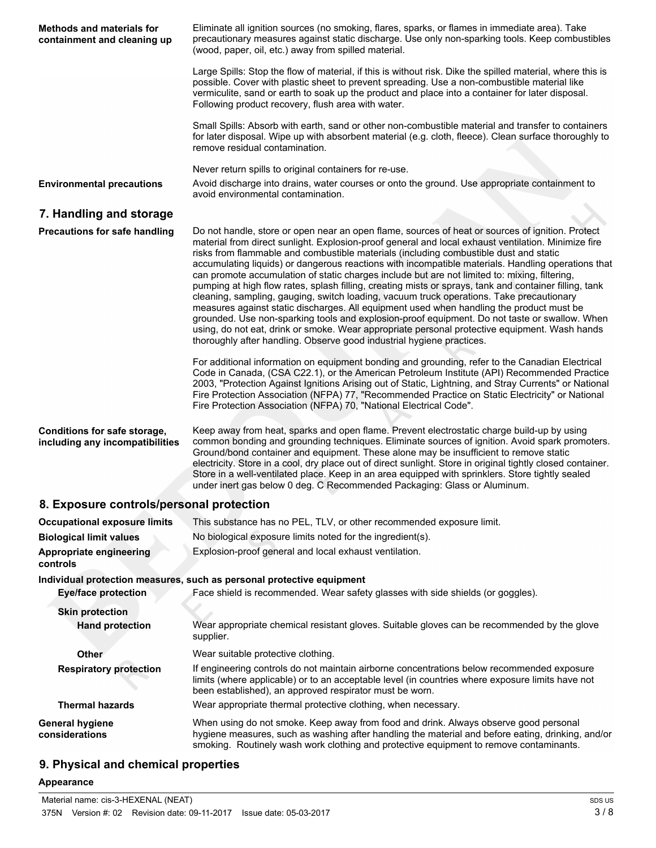| <b>Methods and materials for</b><br>containment and cleaning up | Eliminate all ignition sources (no smoking, flares, sparks, or flames in immediate area). Take<br>precautionary measures against static discharge. Use only non-sparking tools. Keep combustibles<br>(wood, paper, oil, etc.) away from spilled material.                                                                                                                                                                                                                                                                                                                                                                                                                                                                                                                                                                                                                                                                                                                                                                                                                                                                                                                                                                                                                              |
|-----------------------------------------------------------------|----------------------------------------------------------------------------------------------------------------------------------------------------------------------------------------------------------------------------------------------------------------------------------------------------------------------------------------------------------------------------------------------------------------------------------------------------------------------------------------------------------------------------------------------------------------------------------------------------------------------------------------------------------------------------------------------------------------------------------------------------------------------------------------------------------------------------------------------------------------------------------------------------------------------------------------------------------------------------------------------------------------------------------------------------------------------------------------------------------------------------------------------------------------------------------------------------------------------------------------------------------------------------------------|
|                                                                 | Large Spills: Stop the flow of material, if this is without risk. Dike the spilled material, where this is<br>possible. Cover with plastic sheet to prevent spreading. Use a non-combustible material like<br>vermiculite, sand or earth to soak up the product and place into a container for later disposal.<br>Following product recovery, flush area with water.                                                                                                                                                                                                                                                                                                                                                                                                                                                                                                                                                                                                                                                                                                                                                                                                                                                                                                                   |
|                                                                 | Small Spills: Absorb with earth, sand or other non-combustible material and transfer to containers<br>for later disposal. Wipe up with absorbent material (e.g. cloth, fleece). Clean surface thoroughly to<br>remove residual contamination.                                                                                                                                                                                                                                                                                                                                                                                                                                                                                                                                                                                                                                                                                                                                                                                                                                                                                                                                                                                                                                          |
|                                                                 | Never return spills to original containers for re-use.                                                                                                                                                                                                                                                                                                                                                                                                                                                                                                                                                                                                                                                                                                                                                                                                                                                                                                                                                                                                                                                                                                                                                                                                                                 |
| <b>Environmental precautions</b>                                | Avoid discharge into drains, water courses or onto the ground. Use appropriate containment to<br>avoid environmental contamination.                                                                                                                                                                                                                                                                                                                                                                                                                                                                                                                                                                                                                                                                                                                                                                                                                                                                                                                                                                                                                                                                                                                                                    |
| 7. Handling and storage                                         |                                                                                                                                                                                                                                                                                                                                                                                                                                                                                                                                                                                                                                                                                                                                                                                                                                                                                                                                                                                                                                                                                                                                                                                                                                                                                        |
| <b>Precautions for safe handling</b>                            | Do not handle, store or open near an open flame, sources of heat or sources of ignition. Protect<br>material from direct sunlight. Explosion-proof general and local exhaust ventilation. Minimize fire<br>risks from flammable and combustible materials (including combustible dust and static<br>accumulating liquids) or dangerous reactions with incompatible materials. Handling operations that<br>can promote accumulation of static charges include but are not limited to: mixing, filtering,<br>pumping at high flow rates, splash filling, creating mists or sprays, tank and container filling, tank<br>cleaning, sampling, gauging, switch loading, vacuum truck operations. Take precautionary<br>measures against static discharges. All equipment used when handling the product must be<br>grounded. Use non-sparking tools and explosion-proof equipment. Do not taste or swallow. When<br>using, do not eat, drink or smoke. Wear appropriate personal protective equipment. Wash hands<br>thoroughly after handling. Observe good industrial hygiene practices.<br>For additional information on equipment bonding and grounding, refer to the Canadian Electrical<br>Code in Canada, (CSA C22.1), or the American Petroleum Institute (API) Recommended Practice |
| Conditions for safe storage,<br>including any incompatibilities | 2003, "Protection Against Ignitions Arising out of Static, Lightning, and Stray Currents" or National<br>Fire Protection Association (NFPA) 77, "Recommended Practice on Static Electricity" or National<br>Fire Protection Association (NFPA) 70, "National Electrical Code".<br>Keep away from heat, sparks and open flame. Prevent electrostatic charge build-up by using<br>common bonding and grounding techniques. Eliminate sources of ignition. Avoid spark promoters.<br>Ground/bond container and equipment. These alone may be insufficient to remove static<br>electricity. Store in a cool, dry place out of direct sunlight. Store in original tightly closed container.<br>Store in a well-ventilated place. Keep in an area equipped with sprinklers. Store tightly sealed<br>under inert gas below 0 deg. C Recommended Packaging: Glass or Aluminum.                                                                                                                                                                                                                                                                                                                                                                                                                 |
| 8. Exposure controls/personal protection                        |                                                                                                                                                                                                                                                                                                                                                                                                                                                                                                                                                                                                                                                                                                                                                                                                                                                                                                                                                                                                                                                                                                                                                                                                                                                                                        |
| <b>Occupational exposure limits</b>                             | This substance has no PEL, TLV, or other recommended exposure limit.                                                                                                                                                                                                                                                                                                                                                                                                                                                                                                                                                                                                                                                                                                                                                                                                                                                                                                                                                                                                                                                                                                                                                                                                                   |
| <b>Biological limit values</b>                                  | No biological exposure limits noted for the ingredient(s).                                                                                                                                                                                                                                                                                                                                                                                                                                                                                                                                                                                                                                                                                                                                                                                                                                                                                                                                                                                                                                                                                                                                                                                                                             |
| <b>Appropriate engineering</b><br>controls                      | Explosion-proof general and local exhaust ventilation.                                                                                                                                                                                                                                                                                                                                                                                                                                                                                                                                                                                                                                                                                                                                                                                                                                                                                                                                                                                                                                                                                                                                                                                                                                 |
| <b>Eye/face protection</b>                                      | Individual protection measures, such as personal protective equipment<br>Face shield is recommended. Wear safety glasses with side shields (or goggles).                                                                                                                                                                                                                                                                                                                                                                                                                                                                                                                                                                                                                                                                                                                                                                                                                                                                                                                                                                                                                                                                                                                               |
| <b>Skin protection</b>                                          |                                                                                                                                                                                                                                                                                                                                                                                                                                                                                                                                                                                                                                                                                                                                                                                                                                                                                                                                                                                                                                                                                                                                                                                                                                                                                        |
| <b>Hand protection</b>                                          | Wear appropriate chemical resistant gloves. Suitable gloves can be recommended by the glove<br>supplier.                                                                                                                                                                                                                                                                                                                                                                                                                                                                                                                                                                                                                                                                                                                                                                                                                                                                                                                                                                                                                                                                                                                                                                               |
| Other                                                           | Wear suitable protective clothing.                                                                                                                                                                                                                                                                                                                                                                                                                                                                                                                                                                                                                                                                                                                                                                                                                                                                                                                                                                                                                                                                                                                                                                                                                                                     |
| <b>Respiratory protection</b>                                   | If engineering controls do not maintain airborne concentrations below recommended exposure<br>limits (where applicable) or to an acceptable level (in countries where exposure limits have not<br>been established), an approved respirator must be worn.                                                                                                                                                                                                                                                                                                                                                                                                                                                                                                                                                                                                                                                                                                                                                                                                                                                                                                                                                                                                                              |
| <b>Thermal hazards</b>                                          | Wear appropriate thermal protective clothing, when necessary.                                                                                                                                                                                                                                                                                                                                                                                                                                                                                                                                                                                                                                                                                                                                                                                                                                                                                                                                                                                                                                                                                                                                                                                                                          |
| <b>General hygiene</b><br>considerations                        | When using do not smoke. Keep away from food and drink. Always observe good personal<br>hygiene measures, such as washing after handling the material and before eating, drinking, and/or<br>smoking. Routinely wash work clothing and protective equipment to remove contaminants.                                                                                                                                                                                                                                                                                                                                                                                                                                                                                                                                                                                                                                                                                                                                                                                                                                                                                                                                                                                                    |

# **9. Physical and chemical properties**

#### **Appearance**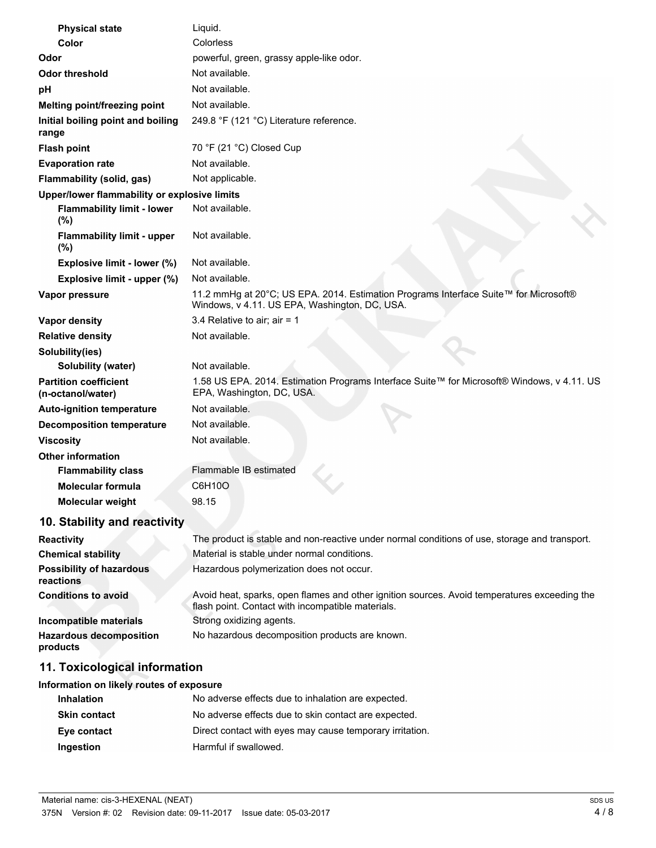| <b>Physical state</b>                             | Liquid.                                                                                                                               |
|---------------------------------------------------|---------------------------------------------------------------------------------------------------------------------------------------|
| Color                                             | Colorless                                                                                                                             |
| Odor                                              | powerful, green, grassy apple-like odor.                                                                                              |
| <b>Odor threshold</b>                             | Not available.                                                                                                                        |
| pH                                                | Not available.                                                                                                                        |
| Melting point/freezing point                      | Not available.                                                                                                                        |
| Initial boiling point and boiling<br>range        | 249.8 °F (121 °C) Literature reference.                                                                                               |
| <b>Flash point</b>                                | 70 °F (21 °C) Closed Cup                                                                                                              |
| <b>Evaporation rate</b>                           | Not available.                                                                                                                        |
| Flammability (solid, gas)                         | Not applicable.                                                                                                                       |
| Upper/lower flammability or explosive limits      |                                                                                                                                       |
| <b>Flammability limit - lower</b><br>(%)          | Not available.                                                                                                                        |
| <b>Flammability limit - upper</b><br>(%)          | Not available.                                                                                                                        |
| Explosive limit - lower (%)                       | Not available.                                                                                                                        |
| Explosive limit - upper (%)                       | Not available.                                                                                                                        |
| Vapor pressure                                    | 11.2 mmHg at 20°C; US EPA. 2014. Estimation Programs Interface Suite™ for Microsoft®<br>Windows, v 4.11. US EPA, Washington, DC, USA. |
| Vapor density                                     | 3.4 Relative to air; air = $1$                                                                                                        |
| <b>Relative density</b>                           | Not available.                                                                                                                        |
| Solubility(ies)                                   |                                                                                                                                       |
| Solubility (water)                                | Not available.                                                                                                                        |
| <b>Partition coefficient</b><br>(n-octanol/water) | 1.58 US EPA. 2014. Estimation Programs Interface Suite™ for Microsoft® Windows, v 4.11. US<br>EPA, Washington, DC, USA.               |
| <b>Auto-ignition temperature</b>                  | Not available.                                                                                                                        |
| <b>Decomposition temperature</b>                  | Not available.                                                                                                                        |
| <b>Viscosity</b>                                  | Not available.                                                                                                                        |
| <b>Other information</b>                          |                                                                                                                                       |
| <b>Flammability class</b>                         | Flammable IB estimated                                                                                                                |
| <b>Molecular formula</b>                          | C6H10O                                                                                                                                |
| Molecular weight                                  | 98.15                                                                                                                                 |
|                                                   |                                                                                                                                       |

# **10. Stability and reactivity**

| <b>Reactivity</b>                            | The product is stable and non-reactive under normal conditions of use, storage and transport.                                                     |
|----------------------------------------------|---------------------------------------------------------------------------------------------------------------------------------------------------|
| <b>Chemical stability</b>                    | Material is stable under normal conditions.                                                                                                       |
| <b>Possibility of hazardous</b><br>reactions | Hazardous polymerization does not occur.                                                                                                          |
| <b>Conditions to avoid</b>                   | Avoid heat, sparks, open flames and other ignition sources. Avoid temperatures exceeding the<br>flash point. Contact with incompatible materials. |
| Incompatible materials                       | Strong oxidizing agents.                                                                                                                          |
| <b>Hazardous decomposition</b><br>products   | No hazardous decomposition products are known.                                                                                                    |

# **11. Toxicological information**

#### **Information on likely routes of exposure**

| <b>Inhalation</b>   | No adverse effects due to inhalation are expected.       |
|---------------------|----------------------------------------------------------|
| <b>Skin contact</b> | No adverse effects due to skin contact are expected.     |
| Eye contact         | Direct contact with eyes may cause temporary irritation. |
| Ingestion           | Harmful if swallowed.                                    |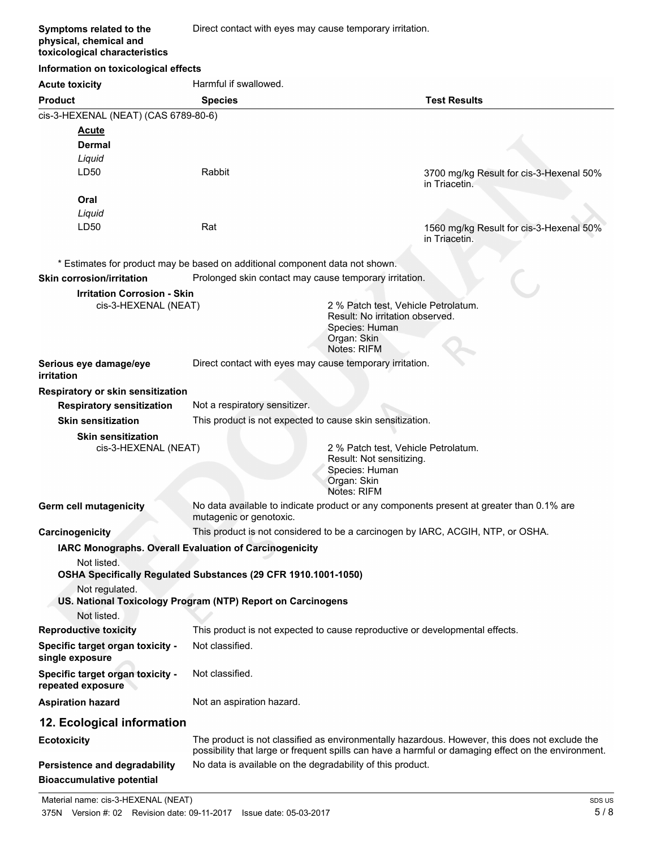#### **Symptoms related to the physical, chemical and toxicological characteristics**

#### **Information on toxicological effects**

**Acute toxicity Harmful if swallowed.** 

| <b>AVULU LUAIVILY</b>                                      |                                                                              |                                                                                                                                                                                                       |
|------------------------------------------------------------|------------------------------------------------------------------------------|-------------------------------------------------------------------------------------------------------------------------------------------------------------------------------------------------------|
| <b>Product</b>                                             | <b>Species</b>                                                               | <b>Test Results</b>                                                                                                                                                                                   |
| cis-3-HEXENAL (NEAT) (CAS 6789-80-6)                       |                                                                              |                                                                                                                                                                                                       |
| <b>Acute</b>                                               |                                                                              |                                                                                                                                                                                                       |
| <b>Dermal</b>                                              |                                                                              |                                                                                                                                                                                                       |
| Liquid                                                     |                                                                              |                                                                                                                                                                                                       |
| LD50                                                       | Rabbit                                                                       | 3700 mg/kg Result for cis-3-Hexenal 50%<br>in Triacetin.                                                                                                                                              |
| Oral                                                       |                                                                              |                                                                                                                                                                                                       |
| Liquid                                                     |                                                                              |                                                                                                                                                                                                       |
| LD50                                                       | Rat                                                                          | 1560 mg/kg Result for cis-3-Hexenal 50%<br>in Triacetin.                                                                                                                                              |
|                                                            | * Estimates for product may be based on additional component data not shown. |                                                                                                                                                                                                       |
| <b>Skin corrosion/irritation</b>                           | Prolonged skin contact may cause temporary irritation.                       |                                                                                                                                                                                                       |
| <b>Irritation Corrosion - Skin</b><br>cis-3-HEXENAL (NEAT) |                                                                              | 2 % Patch test, Vehicle Petrolatum.<br>Result: No irritation observed.<br>Species: Human<br>Organ: Skin<br>Notes: RIFM                                                                                |
| Serious eye damage/eye<br>irritation                       | Direct contact with eyes may cause temporary irritation.                     |                                                                                                                                                                                                       |
| Respiratory or skin sensitization                          |                                                                              |                                                                                                                                                                                                       |
| <b>Respiratory sensitization</b>                           | Not a respiratory sensitizer.                                                |                                                                                                                                                                                                       |
| <b>Skin sensitization</b>                                  | This product is not expected to cause skin sensitization.                    |                                                                                                                                                                                                       |
| <b>Skin sensitization</b><br>cis-3-HEXENAL (NEAT)          |                                                                              | 2 % Patch test, Vehicle Petrolatum.<br>Result: Not sensitizing.<br>Species: Human<br>Organ: Skin<br>Notes: RIFM                                                                                       |
| <b>Germ cell mutagenicity</b>                              | mutagenic or genotoxic.                                                      | No data available to indicate product or any components present at greater than 0.1% are                                                                                                              |
| Carcinogenicity                                            |                                                                              | This product is not considered to be a carcinogen by IARC, ACGIH, NTP, or OSHA.                                                                                                                       |
|                                                            | IARC Monographs. Overall Evaluation of Carcinogenicity                       |                                                                                                                                                                                                       |
| Not listed.                                                |                                                                              |                                                                                                                                                                                                       |
|                                                            | OSHA Specifically Regulated Substances (29 CFR 1910.1001-1050)               |                                                                                                                                                                                                       |
| Not regulated.                                             |                                                                              |                                                                                                                                                                                                       |
|                                                            | US. National Toxicology Program (NTP) Report on Carcinogens                  |                                                                                                                                                                                                       |
| Not listed.                                                |                                                                              |                                                                                                                                                                                                       |
| <b>Reproductive toxicity</b>                               |                                                                              | This product is not expected to cause reproductive or developmental effects.                                                                                                                          |
| Specific target organ toxicity -<br>single exposure        | Not classified.                                                              |                                                                                                                                                                                                       |
| Specific target organ toxicity -<br>repeated exposure      | Not classified.                                                              |                                                                                                                                                                                                       |
| <b>Aspiration hazard</b>                                   | Not an aspiration hazard.                                                    |                                                                                                                                                                                                       |
| 12. Ecological information                                 |                                                                              |                                                                                                                                                                                                       |
| <b>Ecotoxicity</b>                                         |                                                                              | The product is not classified as environmentally hazardous. However, this does not exclude the<br>possibility that large or frequent spills can have a harmful or damaging effect on the environment. |
| Persistence and degradability                              | No data is available on the degradability of this product.                   |                                                                                                                                                                                                       |
| <b>Bioaccumulative potential</b>                           |                                                                              |                                                                                                                                                                                                       |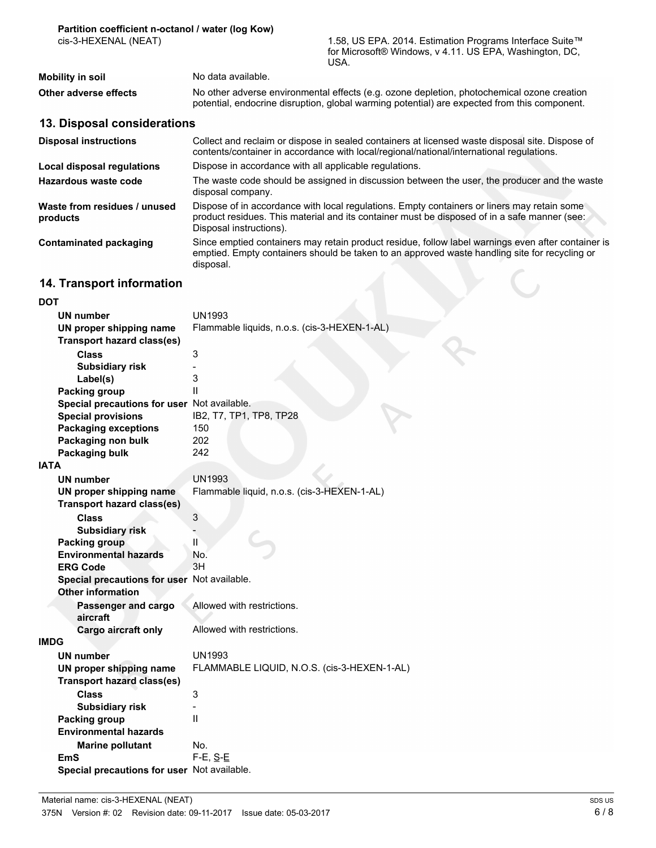1.58, US EPA. 2014. Estimation Programs Interface Suite™ for Microsoft® Windows, v 4.11. US EPA, Washington, DC, USA.

| <b>Mobility in soil</b> | No data available.                                                                           |  |
|-------------------------|----------------------------------------------------------------------------------------------|--|
| Other adverse effects   | No other adverse environmental effects (e.g. ozone depletion, photochemical ozone creation   |  |
|                         | potential, endocrine disruption, global warming potential) are expected from this component. |  |

### **13. Disposal considerations**

| <b>Disposal instructions</b>             | Collect and reclaim or dispose in sealed containers at licensed waste disposal site. Dispose of<br>contents/container in accordance with local/regional/national/international regulations.                            |
|------------------------------------------|------------------------------------------------------------------------------------------------------------------------------------------------------------------------------------------------------------------------|
| Local disposal regulations               | Dispose in accordance with all applicable regulations.                                                                                                                                                                 |
| Hazardous waste code                     | The waste code should be assigned in discussion between the user, the producer and the waste<br>disposal company.                                                                                                      |
| Waste from residues / unused<br>products | Dispose of in accordance with local regulations. Empty containers or liners may retain some<br>product residues. This material and its container must be disposed of in a safe manner (see:<br>Disposal instructions). |
| Contaminated packaging                   | Since emptied containers may retain product residue, follow label warnings even after container is<br>emptied. Empty containers should be taken to an approved waste handling site for recycling or<br>disposal.       |

## **14. Transport information**

| UN number                                   | <b>UN1993</b>                                |
|---------------------------------------------|----------------------------------------------|
| UN proper shipping name                     | Flammable liquids, n.o.s. (cis-3-HEXEN-1-AL) |
| <b>Transport hazard class(es)</b>           |                                              |
| <b>Class</b>                                | 3                                            |
| <b>Subsidiary risk</b>                      |                                              |
| Label(s)                                    | 3                                            |
| Packing group                               | Ш                                            |
| Special precautions for user Not available. |                                              |
| <b>Special provisions</b>                   | IB2, T7, TP1, TP8, TP28                      |
| <b>Packaging exceptions</b>                 | 150                                          |
| Packaging non bulk                          | 202                                          |
| Packaging bulk                              | 242                                          |
| <b>IATA</b>                                 |                                              |
| UN number                                   | <b>UN1993</b>                                |
| UN proper shipping name                     | Flammable liquid, n.o.s. (cis-3-HEXEN-1-AL)  |
| <b>Transport hazard class(es)</b>           |                                              |
| Class                                       | 3                                            |
| <b>Subsidiary risk</b>                      |                                              |
| Packing group                               | $\mathbf{H}$                                 |
| <b>Environmental hazards</b>                | No.                                          |
| <b>ERG Code</b>                             | 3H                                           |
| Special precautions for user Not available. |                                              |
| <b>Other information</b>                    |                                              |
| Passenger and cargo<br>aircraft             | Allowed with restrictions.                   |
| Cargo aircraft only                         | Allowed with restrictions.                   |
| <b>IMDG</b>                                 |                                              |
| <b>UN number</b>                            | <b>UN1993</b>                                |
| UN proper shipping name                     | FLAMMABLE LIQUID, N.O.S. (cis-3-HEXEN-1-AL)  |
| <b>Transport hazard class(es)</b>           |                                              |
| Class                                       | 3                                            |
| <b>Subsidiary risk</b>                      |                                              |
| Packing group                               | $\mathsf{II}$                                |
| <b>Environmental hazards</b>                |                                              |
| <b>Marine pollutant</b>                     | No.                                          |
| EmS                                         | $F-E, S-E$                                   |
| Special precautions for user Not available. |                                              |
|                                             |                                              |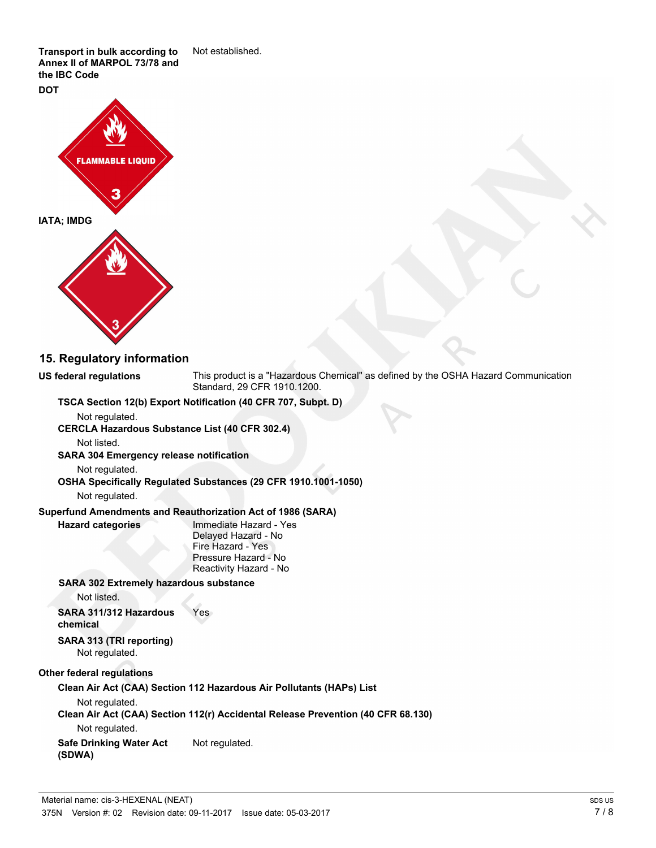**Transport in bulk according to** Not established. **Annex II of MARPOL 73/78 and the IBC Code**

**DOT**



**15. Regulatory information**

This product is a "Hazardous Chemical" as defined by the OSHA Hazard Communication Standard, 29 CFR 1910.1200.

#### **TSCA Section 12(b) Export Notification (40 CFR 707, Subpt. D)**

Not regulated.

**CERCLA Hazardous Substance List (40 CFR 302.4)**

Not listed.

**US federal regulations**

**SARA 304 Emergency release notification**

Not regulated.

**OSHA Specifically Regulated Substances (29 CFR 1910.1001-1050)**

Not regulated.

**Hazard categories**

**Superfund Amendments and Reauthorization Act of 1986 (SARA)**

Immediate Hazard - Yes Delayed Hazard - No Fire Hazard - Yes Pressure Hazard - No Reactivity Hazard - No

**SARA 302 Extremely hazardous substance**

Not listed.

**SARA 311/312 Hazardous** Yes **chemical**

**SARA 313 (TRI reporting)** Not regulated.

**Other federal regulations**

**Clean Air Act (CAA) Section 112 Hazardous Air Pollutants (HAPs) List**

Not regulated.

**Clean Air Act (CAA) Section 112(r) Accidental Release Prevention (40 CFR 68.130)**

Not regulated.

**Safe Drinking Water Act** Not regulated. **(SDWA)**